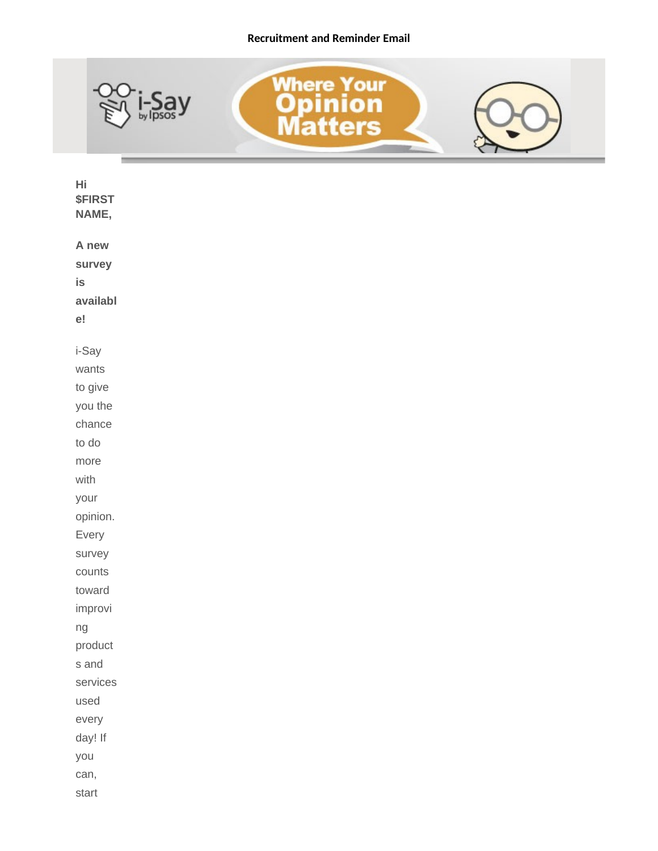## **Recruitment and Reminder Email**



| Hi<br><b>\$FIRST</b><br>NAME, |  |
|-------------------------------|--|
| A new                         |  |
| survey                        |  |
| is                            |  |
| availabl                      |  |
| ${\rm e}!$                    |  |
| i-Say                         |  |
| wants                         |  |
| to give                       |  |
| you the                       |  |
| chance                        |  |
| to do                         |  |
| more                          |  |
| with                          |  |
| your                          |  |
| opinion.                      |  |
| Every                         |  |
| survey                        |  |
| counts                        |  |
| toward                        |  |
| improvi                       |  |
| ng                            |  |
| product                       |  |
| s and                         |  |
| services                      |  |
| used                          |  |
| every                         |  |
| day! If                       |  |
| you                           |  |
| can,                          |  |
| start                         |  |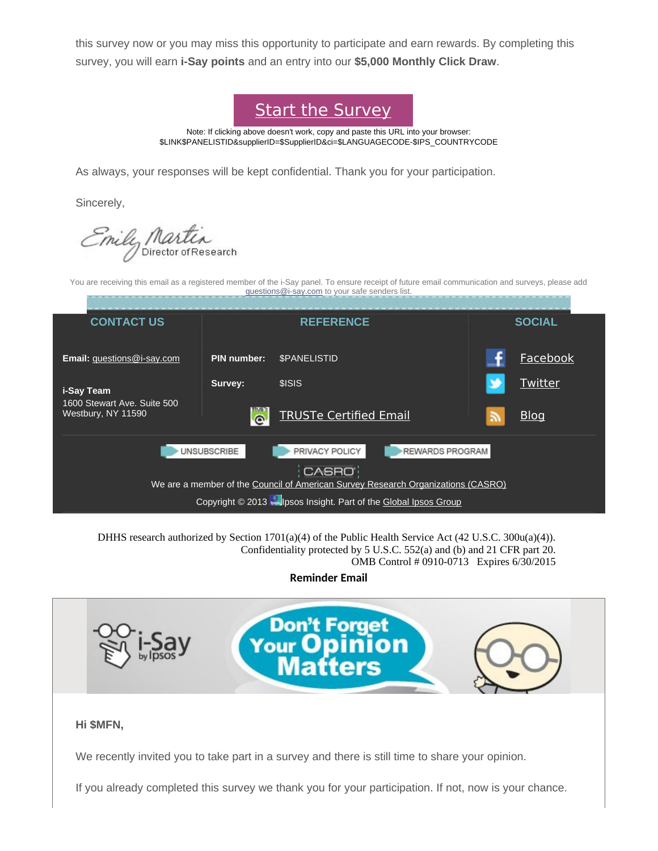this survey now or you may miss this opportunity to participate and earn rewards. By completing this survey, you will earn **i-Say points** and an entry into our **\$5,000 Monthly Click Draw**.



Note: If clicking above doesn't work, copy and paste this URL into your browser: \$LINK\$PANELISTID&supplierID=\$SupplierID&ci=\$LANGUAGECODE-\$IPS\_COUNTRYCODE

As always, your responses will be kept confidential. Thank you for your participation.

Sincerely,

mily Martin

You are receiving this email as a registered member of the i-Say panel. To ensure receipt of future email communication and surveys, please add [questions@i-say.com](mailto:questions@i-say.com) to your safe senders list.

| <b>CONTACT US</b>                                                                | <b>REFERENCE</b>   |                               |  | <b>SOCIAL</b> |  |  |  |
|----------------------------------------------------------------------------------|--------------------|-------------------------------|--|---------------|--|--|--|
| <b>Email:</b> guestions@i-say.com                                                | <b>PIN number:</b> | <b><i>SPANELISTID</i></b>     |  | Facebook      |  |  |  |
| i-Say Team<br>1600 Stewart Ave. Suite 500<br>Westbury, NY 11590                  | Survey:            | \$ISIS                        |  | Twitter       |  |  |  |
|                                                                                  | $\Omega$           | <b>TRUSTe Certified Email</b> |  | <b>Blog</b>   |  |  |  |
| REWARDS PROGRAM<br><b>UNSUBSCRIBE</b><br>PRIVACY POLICY                          |                    |                               |  |               |  |  |  |
| CASRO                                                                            |                    |                               |  |               |  |  |  |
| We are a member of the Council of American Survey Research Organizations (CASRO) |                    |                               |  |               |  |  |  |
| Copyright © 2013 Milpsos Insight. Part of the Global Ipsos Group                 |                    |                               |  |               |  |  |  |

DHHS research authorized by Section 1701(a)(4) of the Public Health Service Act (42 U.S.C. 300u(a)(4)). Confidentiality protected by 5 U.S.C. 552(a) and (b) and 21 CFR part 20. OMB Control # 0910-0713 Expires 6/30/2015

**Reminder Email**